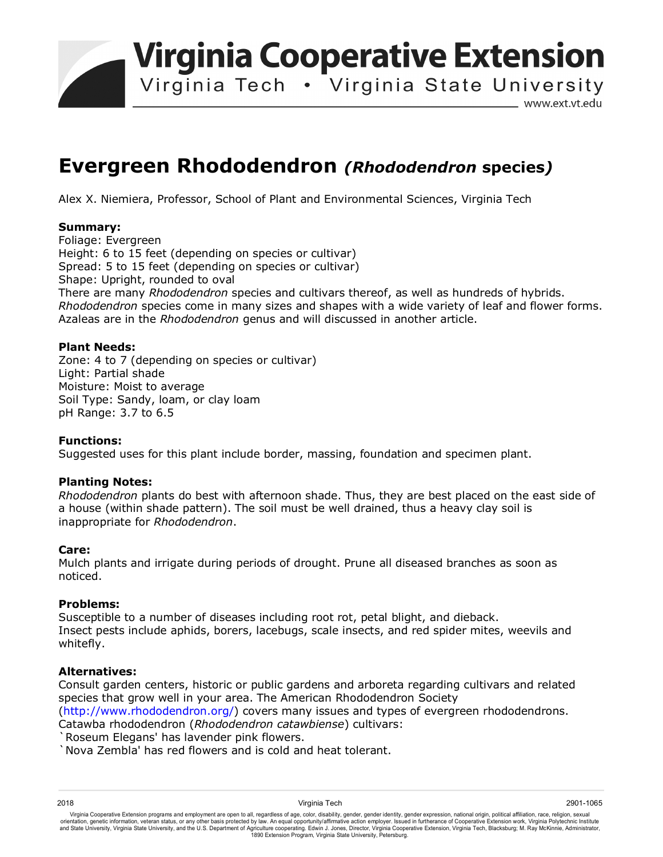**Virginia Cooperative Extension** 

Virginia Tech . Virginia State University

www.ext.vt.edu

# **Evergreen Rhododendron** *(Rhododendron* **species***)*

Alex X. Niemiera, Professor, School of Plant and Environmental Sciences, Virginia Tech

## **Summary:**

Foliage: Evergreen Height: 6 to 15 feet (depending on species or cultivar) Spread: 5 to 15 feet (depending on species or cultivar) Shape: Upright, rounded to oval There are many *Rhododendron* species and cultivars thereof, as well as hundreds of hybrids. *Rhododendron* species come in many sizes and shapes with a wide variety of leaf and flower forms. Azaleas are in the *Rhododendron* genus and will discussed in another article.

## **Plant Needs:**

Zone: 4 to 7 (depending on species or cultivar) Light: Partial shade Moisture: Moist to average Soil Type: Sandy, loam, or clay loam pH Range: 3.7 to 6.5

### **Functions:**

Suggested uses for this plant include border, massing, foundation and specimen plant.

### **Planting Notes:**

*Rhododendron* plants do best with afternoon shade. Thus, they are best placed on the east side of a house (within shade pattern). The soil must be well drained, thus a heavy clay soil is inappropriate for *Rhododendron*.

### **Care:**

Mulch plants and irrigate during periods of drought. Prune all diseased branches as soon as noticed.

### **Problems:**

Susceptible to a number of diseases including root rot, petal blight, and dieback. Insect pests include aphids, borers, lacebugs, scale insects, and red spider mites, weevils and whitefly.

### **Alternatives:**

Consult garden centers, historic or public gardens and arboreta regarding cultivars and related species that grow well in your area. The American Rhododendron Society (http://www.rhododendron.org/) covers many issues and types of evergreen rhododendrons. Catawba rhododendron (*Rhododendron catawbiense*) cultivars:

Roseum Elegans' has lavender pink flowers.

`Nova Zembla' has red flowers and is cold and heat tolerant.